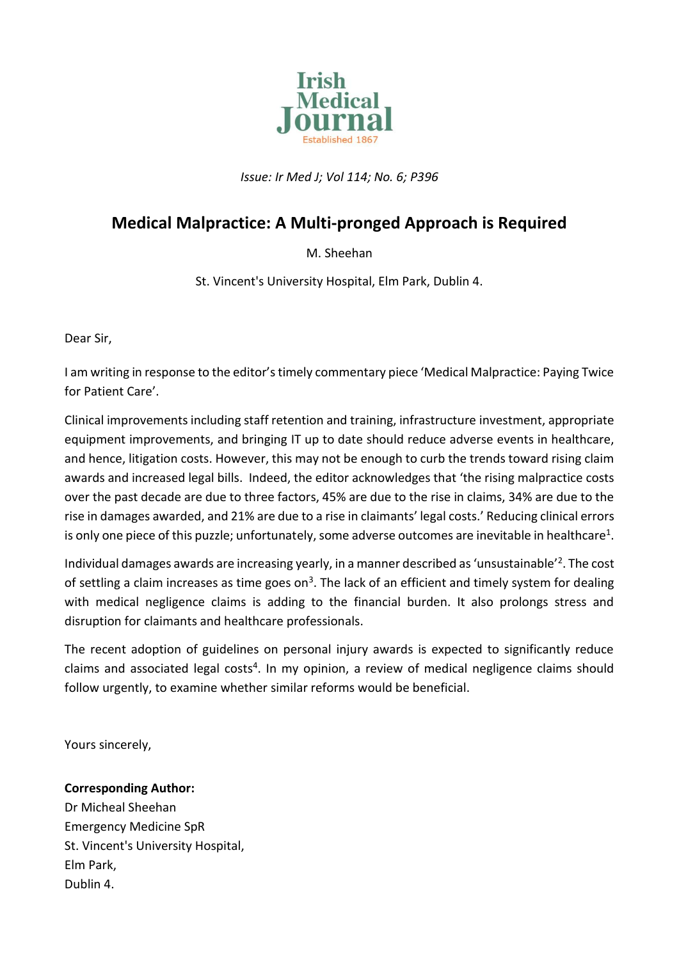

*Issue: Ir Med J; Vol 114; No. 6; P396*

## **Medical Malpractice: A Multi-pronged Approach is Required**

## M. Sheehan

St. Vincent's University Hospital, Elm Park, Dublin 4.

Dear Sir,

I am writing in response to the editor's timely commentary piece 'Medical Malpractice: Paying Twice for Patient Care'.

Clinical improvements including staff retention and training, infrastructure investment, appropriate equipment improvements, and bringing IT up to date should reduce adverse events in healthcare, and hence, litigation costs. However, this may not be enough to curb the trends toward rising claim awards and increased legal bills. Indeed, the editor acknowledges that 'the rising malpractice costs over the past decade are due to three factors, 45% are due to the rise in claims, 34% are due to the rise in damages awarded, and 21% are due to a rise in claimants' legal costs.' Reducing clinical errors is only one piece of this puzzle; unfortunately, some adverse outcomes are inevitable in healthcare<sup>1</sup>.

Individual damages awards are increasing yearly, in a manner described as 'unsustainable'<sup>2</sup>. The cost of settling a claim increases as time goes on<sup>3</sup>. The lack of an efficient and timely system for dealing with medical negligence claims is adding to the financial burden. It also prolongs stress and disruption for claimants and healthcare professionals.

The recent adoption of guidelines on personal injury awards is expected to significantly reduce claims and associated legal costs<sup>4</sup>. In my opinion, a review of medical negligence claims should follow urgently, to examine whether similar reforms would be beneficial.

Yours sincerely,

## **Corresponding Author:**

Dr Micheal Sheehan Emergency Medicine SpR St. Vincent's University Hospital, Elm Park, Dublin 4.